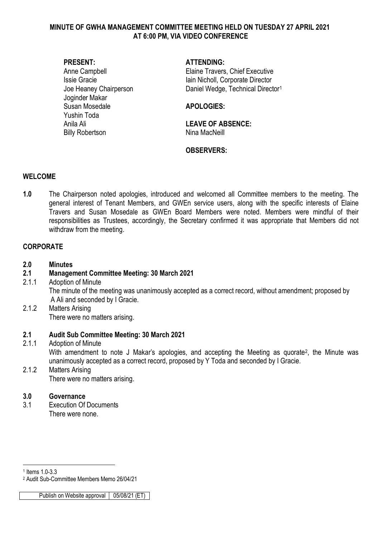### **MINUTE OF GWHA MANAGEMENT COMMITTEE MEETING HELD ON TUESDAY 27 APRIL 2021 AT 6:00 PM, VIA VIDEO CONFERENCE**

Joginder Makar Susan Mosedale **APOLOGIES:** Yushin Toda Anila Ali **LEAVE OF ABSENCE:**  Billy Robertson Nina MacNeill

### **PRESENT: ATTENDING:**

Anne Campbell **Elaine Travers**, Chief Executive Issie Gracie **International International Iain Nicholl**, Corporate Director Joe Heaney Chairperson **Daniel Wedge, Technical Director**<sup>[1](#page-0-0)</sup>

# **OBSERVERS:**

#### **WELCOME**

**1.0** The Chairperson noted apologies, introduced and welcomed all Committee members to the meeting. The general interest of Tenant Members, and GWEn service users, along with the specific interests of Elaine Travers and Susan Mosedale as GWEn Board Members were noted. Members were mindful of their responsibilities as Trustees, accordingly, the Secretary confirmed it was appropriate that Members did not withdraw from the meeting.

### **CORPORATE**

### **2.0 Minutes**

# **2.1 Management Committee Meeting: 30 March 2021**

- 2.1.1 Adoption of Minute The minute of the meeting was unanimously accepted as a correct record, without amendment; proposed by A Ali and seconded by I Gracie.
- 2.1.2 Matters Arising There were no matters arising.

# **2.1 Audit Sub Committee Meeting: 30 March 2021**

# Adoption of Minute With amendment to note J Makar's apologies, and accepting the Meeting as quorate<sup>2</sup>, the Minute was unanimously accepted as a correct record, proposed by Y Toda and seconded by I Gracie.

2.1.2 Matters Arising There were no matters arising.

#### **3.0 Governance**

3.1 Execution Of Documents There were none.

<sup>-</sup><sup>1</sup> Items 1.0-3.3

<span id="page-0-1"></span><span id="page-0-0"></span><sup>2</sup> Audit Sub-Committee Members Memo 26/04/21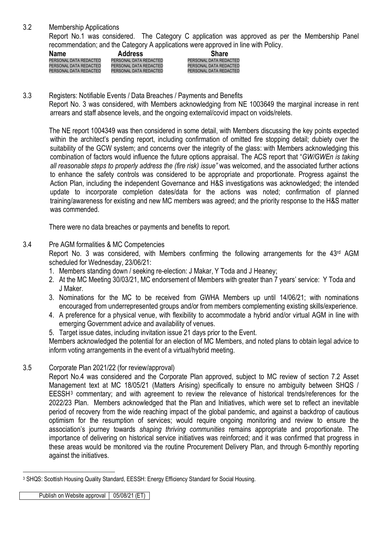3.2 Membership Applications

Report No.1 was considered. The Category C application was approved as per the Membership Panel recommendation; and the Category A applications were approved in line with Policy.

| <b>Name</b>            | <b>Address</b>         | <b>Share</b>           |
|------------------------|------------------------|------------------------|
| PERSONAL DATA REDACTED | PERSONAL DATA REDACTED | PERSONAL DATA REDACTED |
| PERSONAL DATA REDACTED | PERSONAL DATA REDACTED | PERSONAL DATA REDACTED |
| PERSONAL DATA REDACTED | PERSONAL DATA REDACTED | PERSONAL DATA REDACTED |
|                        |                        |                        |

3.3 Registers: Notifiable Events / Data Breaches / Payments and Benefits

Report No. 3 was considered, with Members acknowledging from NE 1003649 the marginal increase in rent arrears and staff absence levels, and the ongoing external/covid impact on voids/relets.

The NE report 1004349 was then considered in some detail, with Members discussing the key points expected within the architect's pending report, including confirmation of omitted fire stopping detail; dubiety over the suitability of the GCW system; and concerns over the integrity of the glass: with Members acknowledging this combination of factors would influence the future options appraisal. The ACS report that "*GW/GWEn is taking all reasonable steps to properly address the (fire risk) issue"* was welcomed, and the associated further actions to enhance the safety controls was considered to be appropriate and proportionate. Progress against the Action Plan, including the independent Governance and H&S investigations was acknowledged; the intended update to incorporate completion dates/data for the actions was noted; confirmation of planned training/awareness for existing and new MC members was agreed; and the priority response to the H&S matter was commended.

There were no data breaches or payments and benefits to report.

### 3.4 Pre AGM formalities & MC Competencies

Report No. 3 was considered, with Members confirming the following arrangements for the 43<sup>rd</sup> AGM scheduled for Wednesday, 23/06/21:

- 1. Members standing down / seeking re-election: J Makar, Y Toda and J Heaney;
- 2. At the MC Meeting 30/03/21, MC endorsement of Members with greater than 7 years' service: Y Toda and J Maker.
- 3. Nominations for the MC to be received from GWHA Members up until 14/06/21; with nominations encouraged from underrepresented groups and/or from members complementing existing skills/experience.
- 4. A preference for a physical venue, with flexibility to accommodate a hybrid and/or virtual AGM in line with emerging Government advice and availability of venues.
- 5. Target issue dates, including invitation issue 21 days prior to the Event.

Members acknowledged the potential for an election of MC Members, and noted plans to obtain legal advice to inform voting arrangements in the event of a virtual/hybrid meeting.

#### 3.5 Corporate Plan 2021/22 (for review/approval)

Report No.4 was considered and the Corporate Plan approved, subject to MC review of section 7.2 Asset Management text at MC 18/05/21 (Matters Arising) specifically to ensure no ambiguity between SHQS / EESSH[3](#page-1-0) commentary; and with agreement to review the relevance of historical trends/references for the 2022/23 Plan. Members acknowledged that the Plan and Initiatives, which were set to reflect an inevitable period of recovery from the wide reaching impact of the global pandemic, and against a backdrop of cautious optimism for the resumption of services; would require ongoing monitoring and review to ensure the association's journey towards *shaping thriving communities* remains appropriate and proportionate. The importance of delivering on historical service initiatives was reinforced; and it was confirmed that progress in these areas would be monitored via the routine Procurement Delivery Plan, and through 6-monthly reporting against the initiatives.

<span id="page-1-0"></span><sup>&</sup>lt;u>.</u> <sup>3</sup> SHQS: Scottish Housing Quality Standard, EESSH: Energy Efficiency Standard for Social Housing.